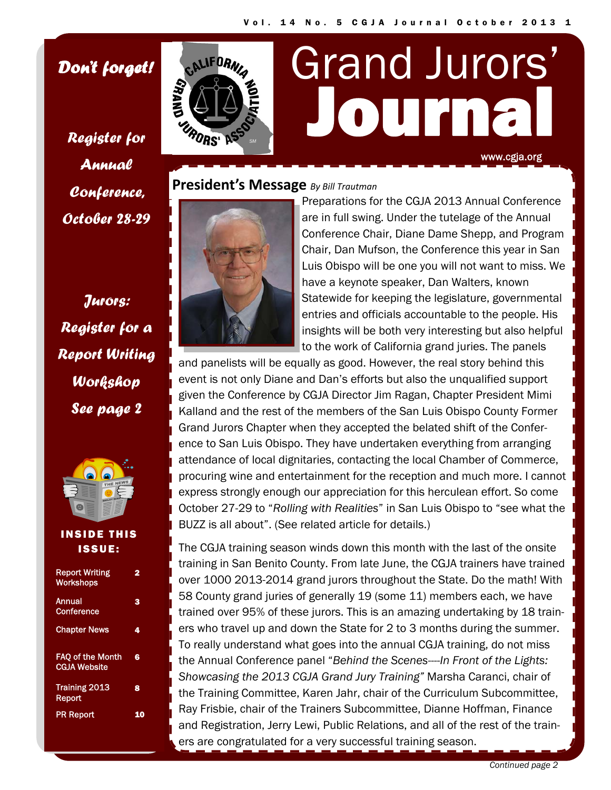Journal

Grand Jurors'

## *Don't forget!*

*Register for Annual Conference, October 28-29* 

*Jurors: Register for a Report Writing Workshop See page 2* 



#### INSIDE THIS ISSUE:

| <b>Report Writing</b><br><b>Workshops</b>      | 2  |
|------------------------------------------------|----|
| Annual<br>Conference                           | з  |
| <b>Chapter News</b>                            | 4  |
| <b>FAO of the Month</b><br><b>CGJA Website</b> | 6  |
| <b>Training 2013</b><br>Report                 | 8  |
| <b>PR Report</b>                               | 10 |



### **President's Message** *By Bill Trautman*



Preparations for the CGJA 2013 Annual Conference are in full swing. Under the tutelage of the Annual Conference Chair, Diane Dame Shepp, and Program Chair, Dan Mufson, the Conference this year in San Luis Obispo will be one you will not want to miss. We have a keynote speaker, Dan Walters, known Statewide for keeping the legislature, governmental entries and officials accountable to the people. His insights will be both very interesting but also helpful to the work of California grand juries. The panels

www.cgja.org

and panelists will be equally as good. However, the real story behind this event is not only Diane and Dan's efforts but also the unqualified support given the Conference by CGJA Director Jim Ragan, Chapter President Mimi Kalland and the rest of the members of the San Luis Obispo County Former Grand Jurors Chapter when they accepted the belated shift of the Conference to San Luis Obispo. They have undertaken everything from arranging attendance of local dignitaries, contacting the local Chamber of Commerce, procuring wine and entertainment for the reception and much more. I cannot express strongly enough our appreciation for this herculean effort. So come October 27-29 to "*Rolling with Realities*" in San Luis Obispo to "see what the BUZZ is all about". (See related article for details.)

The CGJA training season winds down this month with the last of the onsite training in San Benito County. From late June, the CGJA trainers have trained over 1000 2013-2014 grand jurors throughout the State. Do the math! With 58 County grand juries of generally 19 (some 11) members each, we have trained over 95% of these jurors. This is an amazing undertaking by 18 trainers who travel up and down the State for 2 to 3 months during the summer. To really understand what goes into the annual CGJA training, do not miss the Annual Conference panel "*Behind the Scenes----In Front of the Lights: Showcasing the 2013 CGJA Grand Jury Training"* Marsha Caranci, chair of the Training Committee, Karen Jahr, chair of the Curriculum Subcommittee, Ray Frisbie, chair of the Trainers Subcommittee, Dianne Hoffman, Finance and Registration, Jerry Lewi, Public Relations, and all of the rest of the trainers are congratulated for a very successful training season.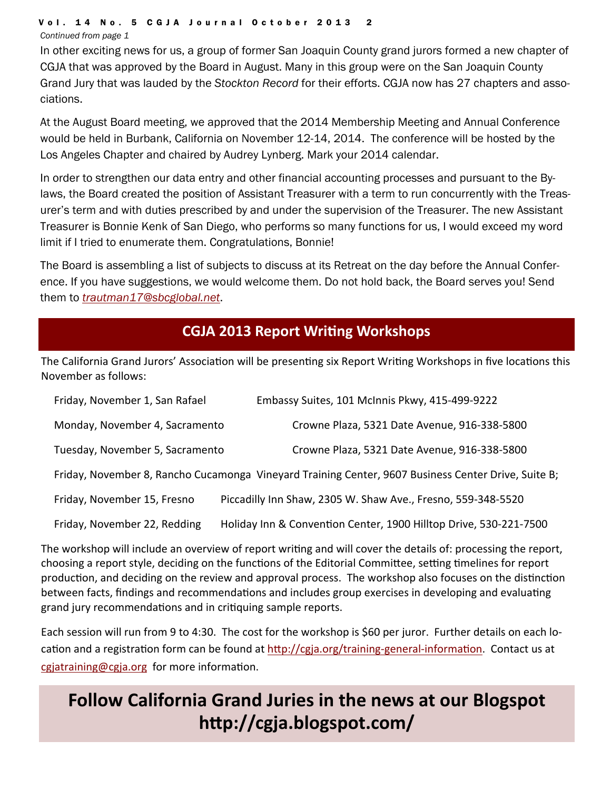#### Vol. 14 No. 5 CGJA Journal October 2013 2

*Continued from page 1* 

In other exciting news for us, a group of former San Joaquin County grand jurors formed a new chapter of CGJA that was approved by the Board in August. Many in this group were on the San Joaquin County Grand Jury that was lauded by the *Stockton Record* for their efforts. CGJA now has 27 chapters and associations.

At the August Board meeting, we approved that the 2014 Membership Meeting and Annual Conference would be held in Burbank, California on November 12-14, 2014. The conference will be hosted by the Los Angeles Chapter and chaired by Audrey Lynberg. Mark your 2014 calendar.

In order to strengthen our data entry and other financial accounting processes and pursuant to the Bylaws, the Board created the position of Assistant Treasurer with a term to run concurrently with the Treasurer's term and with duties prescribed by and under the supervision of the Treasurer. The new Assistant Treasurer is Bonnie Kenk of San Diego, who performs so many functions for us, I would exceed my word limit if I tried to enumerate them. Congratulations, Bonnie!

The Board is assembling a list of subjects to discuss at its Retreat on the day before the Annual Conference. If you have suggestions, we would welcome them. Do not hold back, the Board serves you! Send them to *trautman17@sbcglobal.net*.

# **CGJA 2013 Report WriƟng Workshops**

The California Grand Jurors' Association will be presenting six Report Writing Workshops in five locations this November as follows:

| Friday, November 1, San Rafael                                                                      | Embassy Suites, 101 McInnis Pkwy, 415-499-9222                    |  |
|-----------------------------------------------------------------------------------------------------|-------------------------------------------------------------------|--|
| Monday, November 4, Sacramento                                                                      | Crowne Plaza, 5321 Date Avenue, 916-338-5800                      |  |
| Tuesday, November 5, Sacramento                                                                     | Crowne Plaza, 5321 Date Avenue, 916-338-5800                      |  |
| Friday, November 8, Rancho Cucamonga Vineyard Training Center, 9607 Business Center Drive, Suite B; |                                                                   |  |
| Friday, November 15, Fresno                                                                         | Piccadilly Inn Shaw, 2305 W. Shaw Ave., Fresno, 559-348-5520      |  |
| Friday, November 22, Redding                                                                        | Holiday Inn & Convention Center, 1900 Hilltop Drive, 530-221-7500 |  |

The workshop will include an overview of report writing and will cover the details of: processing the report, choosing a report style, deciding on the functions of the Editorial Committee, setting timelines for report production, and deciding on the review and approval process. The workshop also focuses on the distinction between facts, findings and recommendations and includes group exercises in developing and evaluating grand jury recommendations and in critiquing sample reports.

Each session will run from 9 to 4:30. The cost for the workshop is \$60 per juror. Further details on each lo‐ cation and a registration form can be found at http://cgja.org/training-general-information. Contact us at cgjatraining@cgja.org for more information.

# **Follow California Grand Juries in the news at our Blogspot hƩp://cgja.blogspot.com/**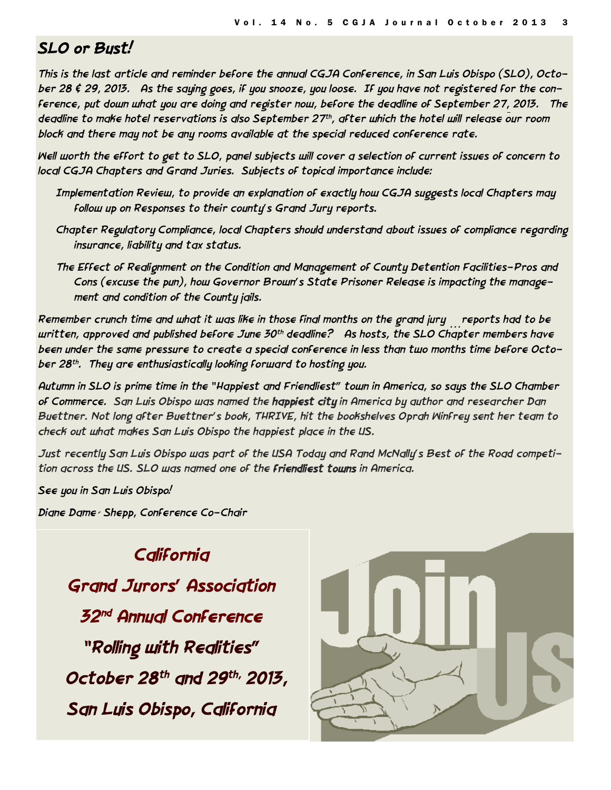# *SLO or Bust!*

*This is the last article and reminder before the annual CGJA Conference, in San Luis Obispo (SLO), October 28 & 29, 2013. As the saying goes, if you snooze, you loose. If you have not registered for the conference, put down what you are doing and register now, before the deadline of September 27, 2013. The deadline to make hotel reservations is also September 27th, after which the hotel will release our room block and there may not be any rooms available at the special reduced conference rate.* 

*Well worth the effort to get to SLO, panel subjects will cover a selection of current issues of concern to local CGJA Chapters and Grand Juries. Subjects of topical importance include:* 

- *Implementation Review, to provide an explanation of exactly how CGJA suggests local Chapters may follow up on Responses to their county's Grand Jury reports.*
- *Chapter Regulatory Compliance, local Chapters should understand about issues of compliance regarding insurance, liability and tax status.*
- *The Effect of Realignment on the Condition and Management of County Detention Facilities-Pros and Cons (excuse the pun), how Governor Brown's State Prisoner Release is impacting the management and condition of the County jails.*

*Remember crunch time and what it was like in those final months on the grand jury …reports had to be written, approved and published before June 30th deadline? As hosts, the SLO Chapter members have been under the same pressure to create a special conference in less than two months time before October 28th. They are enthusiastically looking forward to hosting you.* 

*Autumn in SLO is prime time in the "Happiest and Friendliest" town in America, so says the SLO Chamber of Commerce. San Luis Obispo was named the happiest city in America by author and researcher Dan Buettner. Not long after Buettner's book, THRIVE, hit the bookshelves Oprah Winfrey sent her team to check out what makes San Luis Obispo the happiest place in the US.* 

*Just recently San Luis Obispo was part of the USA Today and Rand McNally's Best of the Road competition across the US. SLO was named one of the friendliest towns in America.*

*See you in San Luis Obispo!* 

*Diane Dame´ Shepp, Conference Co-Chair* 

*California Grand Jurors' Association 32nd Annual Conference "Rolling with Realities" October 28th and 29th, 2013, San Luis Obispo, California* 

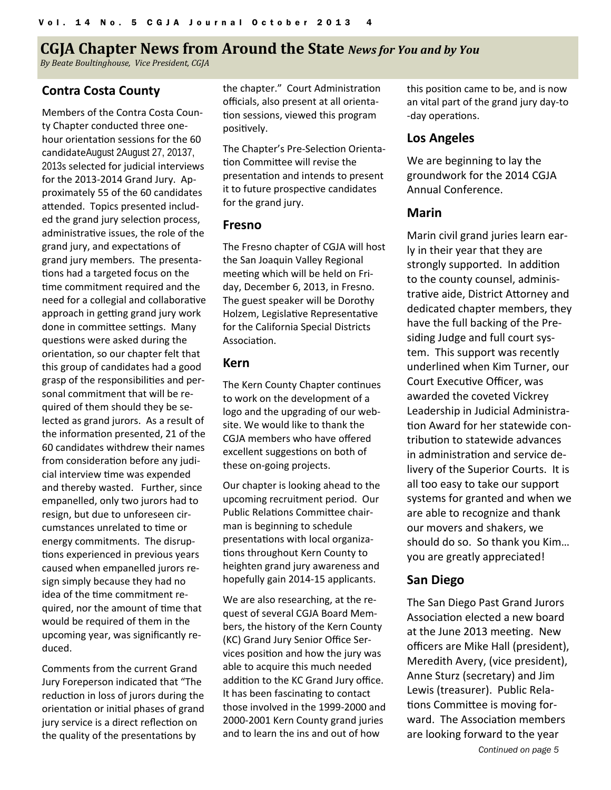# **CGJA** Chapter News from Around the State *News for You and by You*

*By Beate Boultinghouse, Vice President, CGJA*

#### **Contra Costa County**

Members of the Contra Costa Coun‐ ty Chapter conducted three one‐ hour orientation sessions for the 60 candidateAugust 2August 27, 20137, 2013s selected for judicial interviews for the 2013‐2014 Grand Jury. Ap‐ proximately 55 of the 60 candidates attended. Topics presented included the grand jury selection process, administrative issues, the role of the grand jury, and expectations of grand jury members. The presenta‐ tions had a targeted focus on the time commitment required and the need for a collegial and collaborative approach in getting grand jury work done in committee settings. Many questions were asked during the orientation, so our chapter felt that this group of candidates had a good grasp of the responsibilities and personal commitment that will be re‐ quired of them should they be se‐ lected as grand jurors. As a result of the information presented, 21 of the 60 candidates withdrew their names from consideration before any judicial interview time was expended and thereby wasted. Further, since empanelled, only two jurors had to resign, but due to unforeseen cir‐ cumstances unrelated to time or energy commitments. The disrup‐ tions experienced in previous years caused when empanelled jurors re‐ sign simply because they had no idea of the time commitment required, nor the amount of time that would be required of them in the upcoming year, was significantly re‐ duced.

Comments from the current Grand Jury Foreperson indicated that "The reduction in loss of jurors during the orientation or initial phases of grand jury service is a direct reflection on the quality of the presentations by

the chapter." Court Administration officials, also present at all orienta‐ tion sessions, viewed this program positively.

The Chapter's Pre-Selection Orienta-Ɵon CommiƩee will revise the presentation and intends to present it to future prospective candidates for the grand jury.

#### **Fresno**

The Fresno chapter of CGJA will host the San Joaquin Valley Regional meeting which will be held on Friday, December 6, 2013, in Fresno. The guest speaker will be Dorothy Holzem, Legislative Representative for the California Special Districts Association.

#### **Kern**

The Kern County Chapter continues to work on the development of a logo and the upgrading of our web‐ site. We would like to thank the CGJA members who have offered excellent suggestions on both of these on‐going projects.

Our chapter is looking ahead to the upcoming recruitment period. Our Public Relations Committee chairman is beginning to schedule presentations with local organizations throughout Kern County to heighten grand jury awareness and hopefully gain 2014‐15 applicants.

We are also researching, at the request of several CGJA Board Mem‐ bers, the history of the Kern County (KC) Grand Jury Senior Office Ser‐ vices position and how the jury was able to acquire this much needed addition to the KC Grand Jury office. It has been fascinating to contact those involved in the 1999‐2000 and 2000‐2001 Kern County grand juries and to learn the ins and out of how

this position came to be, and is now an vital part of the grand jury day‐to -day operations.

### **Los Angeles**

We are beginning to lay the groundwork for the 2014 CGJA Annual Conference.

#### **Marin**

Marin civil grand juries learn ear‐ ly in their year that they are strongly supported. In addition to the county counsel, adminis‐ trative aide, District Attorney and dedicated chapter members, they have the full backing of the Pre‐ siding Judge and full court sys‐ tem. This support was recently underlined when Kim Turner, our Court Executive Officer, was awarded the coveted Vickrey Leadership in Judicial Administra‐ tion Award for her statewide contribution to statewide advances in administration and service delivery of the Superior Courts. It is all too easy to take our support systems for granted and when we are able to recognize and thank our movers and shakers, we should do so. So thank you Kim… you are greatly appreciated!

### **San Diego**

The San Diego Past Grand Jurors Association elected a new board at the June 2013 meeting. New officers are Mike Hall (president), Meredith Avery, (vice president), Anne Sturz (secretary) and Jim Lewis (treasurer). Public Rela‐ tions Committee is moving forward. The Association members are looking forward to the year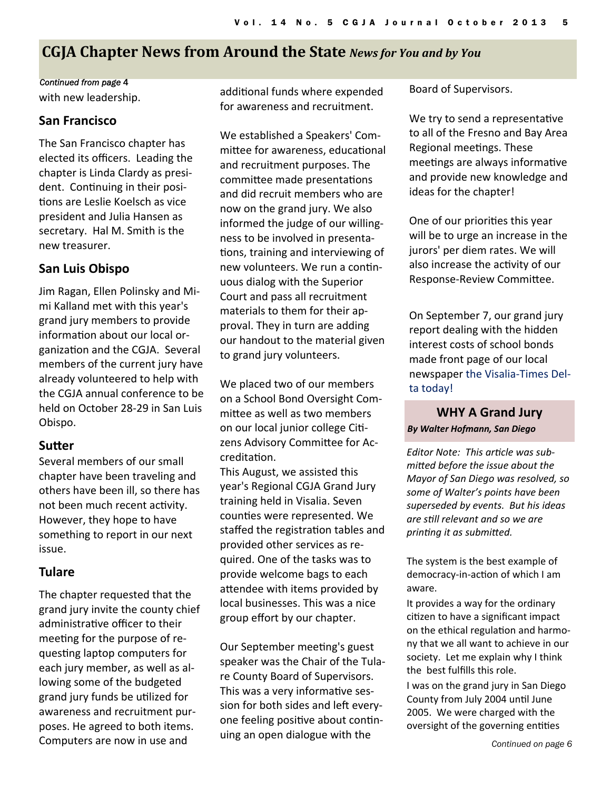# **CGJA** Chapter News from Around the State News for You and by You

#### *Continued from page* 4

with new leadership.

#### **San Francisco**

The San Francisco chapter has elected its officers. Leading the chapter is Linda Clardy as presi‐ dent. Continuing in their positions are Leslie Koelsch as vice president and Julia Hansen as secretary. Hal M. Smith is the new treasurer.

### **San Luis Obispo**

Jim Ragan, Ellen Polinsky and Mi‐ mi Kalland met with this year's grand jury members to provide information about our local organization and the CGJA. Several members of the current jury have already volunteered to help with the CGJA annual conference to be held on October 28‐29 in San Luis Obispo.

### **SuƩer**

Several members of our small chapter have been traveling and others have been ill, so there has not been much recent activity. However, they hope to have something to report in our next issue.

### **Tulare**

The chapter requested that the grand jury invite the county chief administrative officer to their meeting for the purpose of requesting laptop computers for each jury member, as well as al‐ lowing some of the budgeted grand jury funds be uƟlized for awareness and recruitment pur‐ poses. He agreed to both items. Computers are now in use and

additional funds where expended for awareness and recruitment.

We established a Speakers' Com‐ mittee for awareness, educational and recruitment purposes. The committee made presentations and did recruit members who are now on the grand jury. We also informed the judge of our willing‐ ness to be involved in presenta‐ tions, training and interviewing of new volunteers. We run a continuous dialog with the Superior Court and pass all recruitment materials to them for their ap‐ proval. They in turn are adding our handout to the material given to grand jury volunteers.

We placed two of our members on a School Bond Oversight Com‐ mittee as well as two members on our local junior college Citizens Advisory Committee for AccreditaƟon.

This August, we assisted this year's Regional CGJA Grand Jury training held in Visalia. Seven counties were represented. We staffed the registration tables and provided other services as re‐ quired. One of the tasks was to provide welcome bags to each attendee with items provided by local businesses. This was a nice group effort by our chapter.

Our September meeting's guest speaker was the Chair of the Tula‐ re County Board of Supervisors. This was a very informative session for both sides and left everyone feeling positive about continuing an open dialogue with the

Board of Supervisors.

We try to send a representative to all of the Fresno and Bay Area Regional meetings. These meetings are always informative and provide new knowledge and ideas for the chapter!

One of our priorities this year will be to urge an increase in the jurors' per diem rates. We will also increase the activity of our Response-Review Committee.

On September 7, our grand jury report dealing with the hidden interest costs of school bonds made front page of our local newspaper the Visalia‐Times Del‐ ta today!

**WHY A Grand Jury** *By Walter Hofmann, San Diego*

*Editor Note: This arƟcle was submiƩed before the issue about the Mayor of San Diego was resolved, so some of Walter's points have been superseded by events. But his ideas are sƟll relevant and so we are prinƟng it as submiƩed.* 

The system is the best example of democracy-in-action of which I am aware.

It provides a way for the ordinary citizen to have a significant impact on the ethical regulation and harmony that we all want to achieve in our society. Let me explain why I think the best fulfills this role.

I was on the grand jury in San Diego County from July 2004 unƟl June 2005. We were charged with the oversight of the governing entities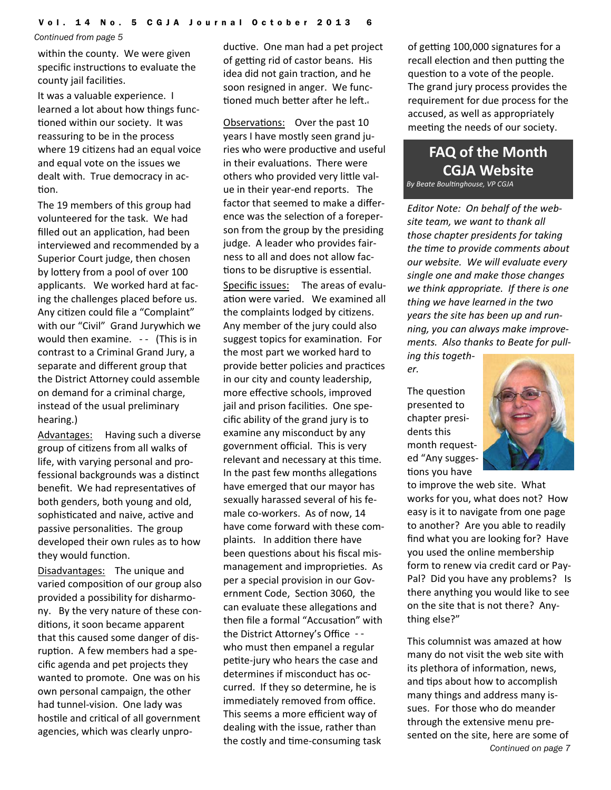*Continued from page 5* 

within the county. We were given specific instructions to evaluate the county jail facilities.

It was a valuable experience. I learned a lot about how things func‐ tioned within our society. It was reassuring to be in the process where 19 citizens had an equal voice and equal vote on the issues we dealt with. True democracy in ac‐ tion.

The 19 members of this group had volunteered for the task. We had filled out an application, had been interviewed and recommended by a Superior Court judge, then chosen by lottery from a pool of over 100 applicants. We worked hard at facing the challenges placed before us. Any citizen could file a "Complaint" with our "Civil" Grand Jurywhich we would then examine. -- (This is in contrast to a Criminal Grand Jury, a separate and different group that the District Attorney could assemble on demand for a criminal charge, instead of the usual preliminary hearing.)

Advantages: Having such a diverse group of citizens from all walks of life, with varying personal and pro‐ fessional backgrounds was a distinct benefit. We had representatives of both genders, both young and old, sophisticated and naive, active and passive personalities. The group developed their own rules as to how they would function.

Disadvantages: The unique and varied composition of our group also provided a possibility for disharmo‐ ny. By the very nature of these con‐ ditions, it soon became apparent that this caused some danger of dis‐ ruption. A few members had a specific agenda and pet projects they wanted to promote. One was on his own personal campaign, the other had tunnel‐vision. One lady was hostile and critical of all government agencies, which was clearly unpro‐

ductive. One man had a pet project of getting rid of castor beans. His idea did not gain traction, and he soon resigned in anger. We functioned much better after he left.

Observations: Over the past 10 years I have mostly seen grand ju‐ ries who were productive and useful in their evaluations. There were others who provided very little value in their year‐end reports. The factor that seemed to make a differ‐ ence was the selection of a foreperson from the group by the presiding judge. A leader who provides fair‐ ness to all and does not allow fac‐ tions to be disruptive is essential. Specific issues: The areas of evaluation were varied. We examined all the complaints lodged by citizens. Any member of the jury could also suggest topics for examination. For the most part we worked hard to provide better policies and practices in our city and county leadership, more effective schools, improved jail and prison facilities. One specific ability of the grand jury is to examine any misconduct by any government official. This is very relevant and necessary at this time. In the past few months allegations have emerged that our mayor has sexually harassed several of his fe‐ male co-workers. As of now, 14 have come forward with these com‐ plaints. In addition there have been questions about his fiscal mismanagement and improprieties. As per a special provision in our Gov‐ ernment Code, Section 3060, the can evaluate these allegations and then file a formal "Accusation" with the District Attorney's Office -who must then empanel a regular petite-jury who hears the case and determines if misconduct has oc‐ curred. If they so determine, he is immediately removed from office. This seems a more efficient way of dealing with the issue, rather than the costly and time-consuming task

of getting 100,000 signatures for a recall election and then putting the question to a vote of the people. The grand jury process provides the requirement for due process for the accused, as well as appropriately meeting the needs of our society.

# **FAQ of the Month CGJA Website**

*By Beate BoulƟnghouse, VP CGJA*

*Editor Note: On behalf of the website team, we want to thank all those chapter presidents for taking the Ɵme to provide comments about our website. We will evaluate every single one and make those changes we think appropriate. If there is one thing we have learned in the two years the site has been up and running, you can always make improvements. Also thanks to Beate for pull-*

*ing this together.*

The question presented to chapter presi‐ dents this month request‐ ed "Any sugges‐ tions you have



to improve the web site. What works for you, what does not? How easy is it to navigate from one page to another? Are you able to readily find what you are looking for? Have you used the online membership form to renew via credit card or Pay‐ Pal? Did you have any problems? Is there anything you would like to see on the site that is not there? Any‐ thing else?"

*Continued on page 7*  This columnist was amazed at how many do not visit the web site with its plethora of information, news, and tips about how to accomplish many things and address many is‐ sues. For those who do meander through the extensive menu pre‐ sented on the site, here are some of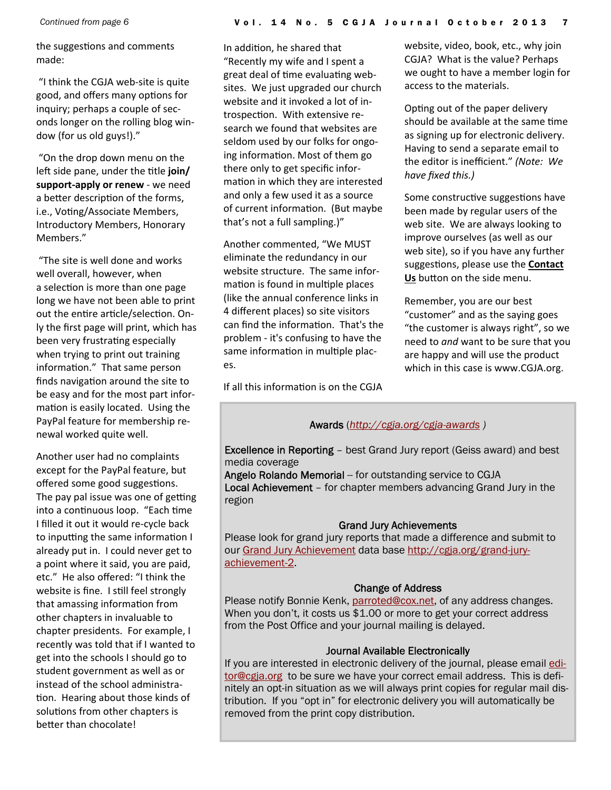the suggestions and comments made:

"I think the CGJA web‐site is quite good, and offers many options for inquiry; perhaps a couple of sec‐ onds longer on the rolling blog win‐ dow (for us old guys!)."

"On the drop down menu on the left side pane, under the title join/ **support‐apply or renew** ‐ we need a better description of the forms, i.e., Voting/Associate Members, Introductory Members, Honorary Members."

"The site is well done and works well overall, however, when a selection is more than one page long we have not been able to print out the entire article/selection. Only the first page will print, which has been very frustrating especially when trying to print out training information." That same person finds navigation around the site to be easy and for the most part infor‐ mation is easily located. Using the PayPal feature for membership re‐ newal worked quite well.

Another user had no complaints except for the PayPal feature, but offered some good suggestions. The pay pal issue was one of getting into a continuous loop. "Each time I filled it out it would re‐cycle back to inputting the same information I already put in. I could never get to a point where it said, you are paid, etc." He also offered: "I think the website is fine. I still feel strongly that amassing information from other chapters in invaluable to chapter presidents. For example, I recently was told that if I wanted to get into the schools I should go to student government as well as or instead of the school administra‐ tion. Hearing about those kinds of solutions from other chapters is better than chocolate!

In addition, he shared that "Recently my wife and I spent a great deal of time evaluating websites. We just upgraded our church website and it invoked a lot of in‐ trospection. With extensive research we found that websites are seldom used by our folks for ongo‐ ing information. Most of them go there only to get specific infor‐ mation in which they are interested and only a few used it as a source of current information. (But maybe that's not a full sampling.)"

Another commented, "We MUST eliminate the redundancy in our website structure. The same infor‐ mation is found in multiple places (like the annual conference links in 4 different places) so site visitors can find the information. That's the problem ‐ it's confusing to have the same information in multiple places.

If all this information is on the CGJA

website, video, book, etc., why join CGJA? What is the value? Perhaps we ought to have a member login for access to the materials.

Opting out of the paper delivery should be available at the same time as signing up for electronic delivery. Having to send a separate email to the editor is inefficient." *(Note: We have fixed this.)*

Some constructive suggestions have been made by regular users of the web site. We are always looking to improve ourselves (as well as our web site), so if you have any further suggestions, please use the **Contact** Us button on the side menu.

Remember, you are our best "customer" and as the saying goes "the customer is always right", so we need to *and* want to be sure that you are happy and will use the product which in this case is www.CGJA.org.

#### Awards (*http://cgja.org/cgja-awards )*

Excellence in Reporting – best Grand Jury report (Geiss award) and best media coverage

Angelo Rolando Memorial -- for outstanding service to CGJA Local Achievement – for chapter members advancing Grand Jury in the region

#### Grand Jury Achievements

Please look for grand jury reports that made a difference and submit to our Grand Jury Achievement data base http://cgja.org/grand-juryachievement-2.

#### Change of Address

Please notify Bonnie Kenk, parroted@cox.net, of any address changes. When you don't, it costs us \$1.00 or more to get your correct address from the Post Office and your journal mailing is delayed.

#### Journal Available Electronically

If you are interested in electronic delivery of the journal, please email editor@cgja.org to be sure we have your correct email address. This is definitely an opt-in situation as we will always print copies for regular mail distribution. If you "opt in" for electronic delivery you will automatically be removed from the print copy distribution.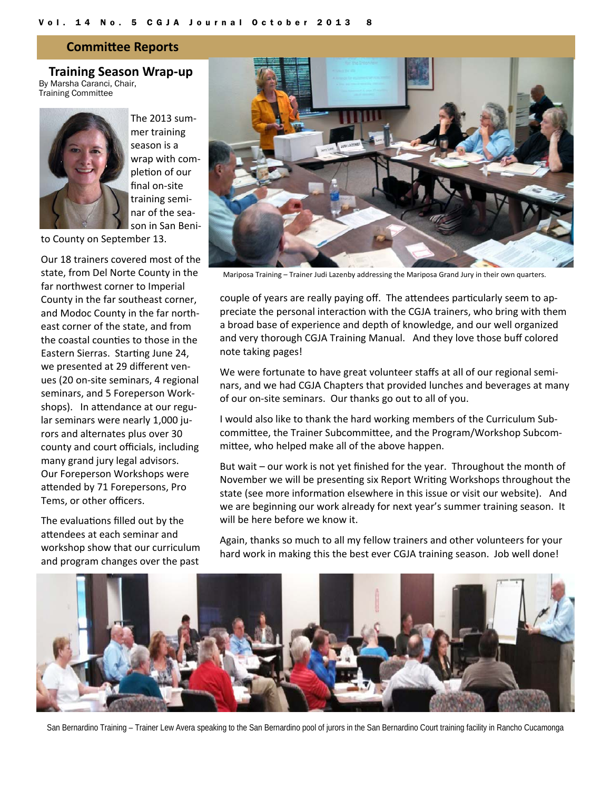#### **CommiƩee Reports**

**Training Season Wrap‐up** By Marsha Caranci, Chair, Training Committee



The 2013 sum‐ mer training season is a wrap with com‐ pletion of our final on‐site training semi‐ nar of the sea‐ son in San Beni‐

to County on September 13.

Our 18 trainers covered most of the state, from Del Norte County in the far northwest corner to Imperial County in the far southeast corner, and Modoc County in the far north‐ east corner of the state, and from the coastal counties to those in the Eastern Sierras. Starting June 24, we presented at 29 different ven‐ ues (20 on‐site seminars, 4 regional seminars, and 5 Foreperson Work‐ shops). In attendance at our regular seminars were nearly 1,000 ju‐ rors and alternates plus over 30 county and court officials, including many grand jury legal advisors. Our Foreperson Workshops were attended by 71 Forepersons, Pro Tems, or other officers.

The evaluations filled out by the attendees at each seminar and workshop show that our curriculum and program changes over the past



Mariposa Training – Trainer Judi Lazenby addressing the Mariposa Grand Jury in their own quarters.

couple of years are really paying off. The attendees particularly seem to appreciate the personal interaction with the CGJA trainers, who bring with them a broad base of experience and depth of knowledge, and our well organized and very thorough CGJA Training Manual. And they love those buff colored note taking pages!

We were fortunate to have great volunteer staffs at all of our regional seminars, and we had CGJA Chapters that provided lunches and beverages at many of our on‐site seminars. Our thanks go out to all of you.

I would also like to thank the hard working members of the Curriculum Sub‐ committee, the Trainer Subcommittee, and the Program/Workshop Subcommittee, who helped make all of the above happen.

But wait – our work is not yet finished for the year. Throughout the month of November we will be presenting six Report Writing Workshops throughout the state (see more information elsewhere in this issue or visit our website). And we are beginning our work already for next year's summer training season. It will be here before we know it.

Again, thanks so much to all my fellow trainers and other volunteers for your hard work in making this the best ever CGJA training season. Job well done!



San Bernardino Training – Trainer Lew Avera speaking to the San Bernardino pool of jurors in the San Bernardino Court training facility in Rancho Cucamonga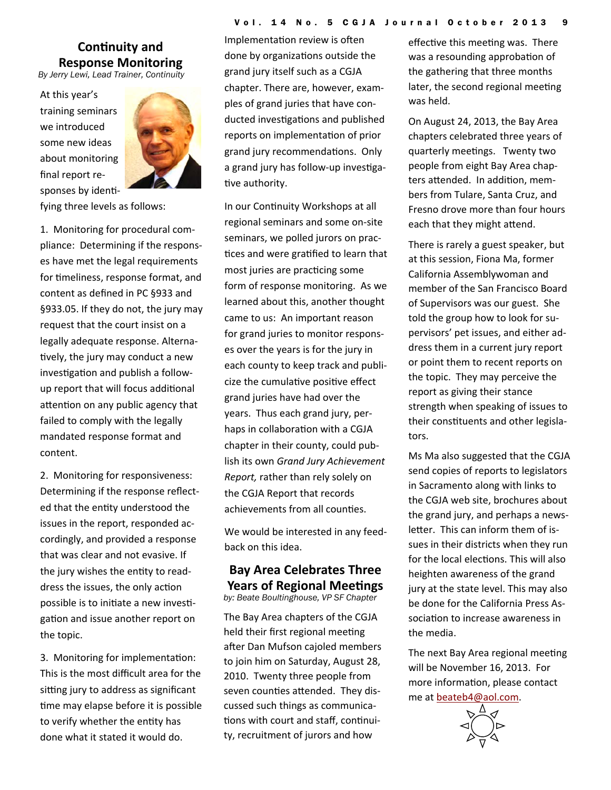# **Continuity** and **Response Monitoring**  *By Jerry Lewi, Lead Trainer, Continuity*

At this year's training seminars we introduced some new ideas about monitoring final report re‐ sponses by identi-



fying three levels as follows:

1. Monitoring for procedural com‐ pliance: Determining if the respons‐ es have met the legal requirements for timeliness, response format, and content as defined in PC §933 and §933.05. If they do not, the jury may request that the court insist on a legally adequate response. Alterna‐ tively, the jury may conduct a new investigation and publish a followup report that will focus additional attention on any public agency that failed to comply with the legally mandated response format and content.

2. Monitoring for responsiveness: Determining if the response reflect‐ ed that the entity understood the issues in the report, responded ac‐ cordingly, and provided a response that was clear and not evasive. If the jury wishes the entity to readdress the issues, the only action possible is to initiate a new investigation and issue another report on the topic.

3. Monitoring for implementation: This is the most difficult area for the sitting jury to address as significant time may elapse before it is possible to verify whether the entity has done what it stated it would do.

Implementation review is often done by organizations outside the grand jury itself such as a CGJA chapter. There are, however, exam‐ ples of grand juries that have con‐ ducted investigations and published reports on implementation of prior grand jury recommendations. Only a grand jury has follow-up investigative authority.

In our Continuity Workshops at all regional seminars and some on‐site seminars, we polled jurors on prac‐ tices and were gratified to learn that most juries are practicing some form of response monitoring. As we learned about this, another thought came to us: An important reason for grand juries to monitor respons‐ es over the years is for the jury in each county to keep track and publi‐ cize the cumulative positive effect grand juries have had over the years. Thus each grand jury, per‐ haps in collaboration with a CGJA chapter in their county, could pub‐ lish its own *Grand Jury Achievement Report,* rather than rely solely on the CGJA Report that records achievements from all counties.

We would be interested in any feed‐ back on this idea.

### **Bay Area Celebrates Three Years of Regional Meetings**

*by: Beate Boultinghouse, VP SF Chapter* 

The Bay Area chapters of the CGJA held their first regional meeting after Dan Mufson cajoled members to join him on Saturday, August 28, 2010. Twenty three people from seven counties attended. They discussed such things as communica‐ tions with court and staff, continuity, recruitment of jurors and how

effective this meeting was. There was a resounding approbation of the gathering that three months later, the second regional meeting was held.

On August 24, 2013, the Bay Area chapters celebrated three years of quarterly meetings. Twenty two people from eight Bay Area chap‐ ters attended. In addition, members from Tulare, Santa Cruz, and Fresno drove more than four hours each that they might attend.

There is rarely a guest speaker, but at this session, Fiona Ma, former California Assemblywoman and member of the San Francisco Board of Supervisors was our guest. She told the group how to look for su‐ pervisors' pet issues, and either ad‐ dress them in a current jury report or point them to recent reports on the topic. They may perceive the report as giving their stance strength when speaking of issues to their constituents and other legislators.

Ms Ma also suggested that the CGJA send copies of reports to legislators in Sacramento along with links to the CGJA web site, brochures about the grand jury, and perhaps a news‐ letter. This can inform them of issues in their districts when they run for the local elections. This will also heighten awareness of the grand jury at the state level. This may also be done for the California Press As‐ sociation to increase awareness in the media.

The next Bay Area regional meeting will be November 16, 2013. For more information, please contact me at beateb4@aol.com.

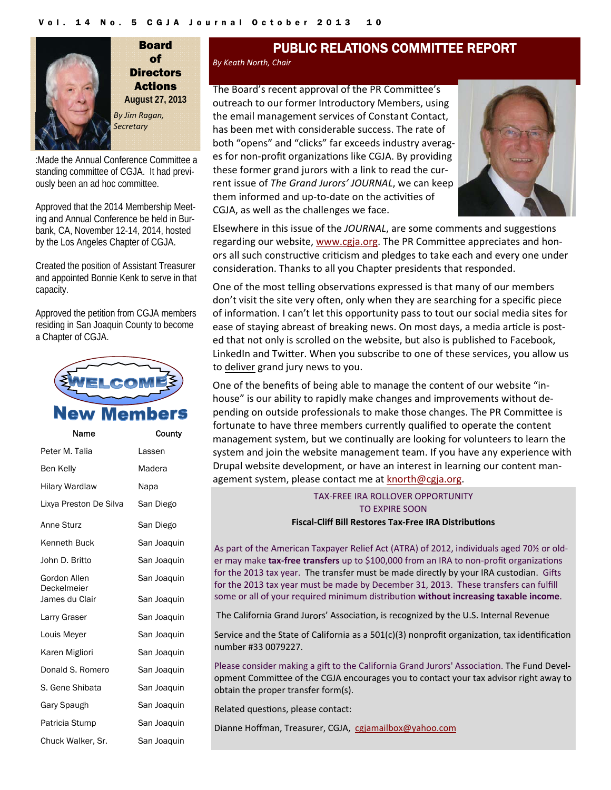

Board of **Directors** Actions **August 27, 2013**  *By Jim Ragan, Secretary*

:Made the Annual Conference Committee a standing committee of CGJA. It had previously been an ad hoc committee.

Approved that the 2014 Membership Meeting and Annual Conference be held in Burbank, CA, November 12-14, 2014, hosted by the Los Angeles Chapter of CGJA.

Created the position of Assistant Treasurer and appointed Bonnie Kenk to serve in that capacity.

Approved the petition from CGJA members residing in San Joaquin County to become a Chapter of CGJA.



# Memb

| Name                        | County      |
|-----------------------------|-------------|
| Peter M. Talia              | Lassen      |
| Ben Kelly                   | Madera      |
| <b>Hilary Wardlaw</b>       | Napa        |
| Lixya Preston De Silva      | San Diego   |
| Anne Sturz                  | San Diego   |
| Kenneth Buck                | San Joaquin |
| John D. Britto              | San Joaquin |
| Gordon Allen<br>Deckelmeier | San Joaquin |
| James du Clair              | San Joaquin |
| Larry Graser                | San Joaquin |
| Louis Meyer                 | San Joaquin |
| Karen Migliori              | San Joaquin |
| Donald S. Romero            | San Joaquin |
| S. Gene Shibata             | San Joaquin |
| Gary Spaugh                 | San Joaquin |
| Patricia Stump              | San Joaquin |
| Chuck Walker, Sr.           | San Joaquin |

# PUBLIC RELATIONS COMMITTEE REPORT

#### *By Keath North, Chair*

The Board's recent approval of the PR Committee's outreach to our former Introductory Members, using the email management services of Constant Contact, has been met with considerable success. The rate of both "opens" and "clicks" far exceeds industry averag‐ es for non-profit organizations like CGJA. By providing these former grand jurors with a link to read the cur‐ rent issue of *The Grand Jurors' JOURNAL*, we can keep them informed and up-to-date on the activities of CGJA, as well as the challenges we face.



Elsewhere in this issue of the *JOURNAL*, are some comments and suggestions regarding our website, www.cgja.org. The PR Committee appreciates and honors all such constructive criticism and pledges to take each and every one under consideration. Thanks to all you Chapter presidents that responded.

One of the most telling observations expressed is that many of our members don't visit the site very often, only when they are searching for a specific piece of informaƟon. I can't let this opportunity pass to tout our social media sites for ease of staying abreast of breaking news. On most days, a media article is posted that not only is scrolled on the website, but also is published to Facebook, LinkedIn and Twitter. When you subscribe to one of these services, you allow us to deliver grand jury news to you.

One of the benefits of being able to manage the content of our website "in‐ house" is our ability to rapidly make changes and improvements without de‐ pending on outside professionals to make those changes. The PR Committee is fortunate to have three members currently qualified to operate the content management system, but we continually are looking for volunteers to learn the system and join the website management team. If you have any experience with Drupal website development, or have an interest in learning our content man‐ agement system, please contact me at knorth@cgja.org.

### TAX‐FREE IRA ROLLOVER OPPORTUNITY TO EXPIRE SOON

**Fiscal‐Cliff Bill Restores Tax‐Free IRA DistribuƟons**

As part of the American Taxpayer Relief Act (ATRA) of 2012, individuals aged 70½ or old‐ er may make **tax-free transfers** up to \$100,000 from an IRA to non-profit organizations for the 2013 tax year. The transfer must be made directly by your IRA custodian. Gifts for the 2013 tax year must be made by December 31, 2013. These transfers can fulfill some or all of your required minimum distribuƟon **without increasing taxable income**.

The California Grand Jurors' Association, is recognized by the U.S. Internal Revenue

Service and the State of California as a  $501(c)(3)$  nonprofit organization, tax identification number #33 0079227.

Please consider making a gift to the California Grand Jurors' Association. The Fund Development CommiƩee of the CGJA encourages you to contact your tax advisor right away to obtain the proper transfer form(s).

Related questions, please contact:

Dianne Hoffman, Treasurer, CGJA, cgjamailbox@yahoo.com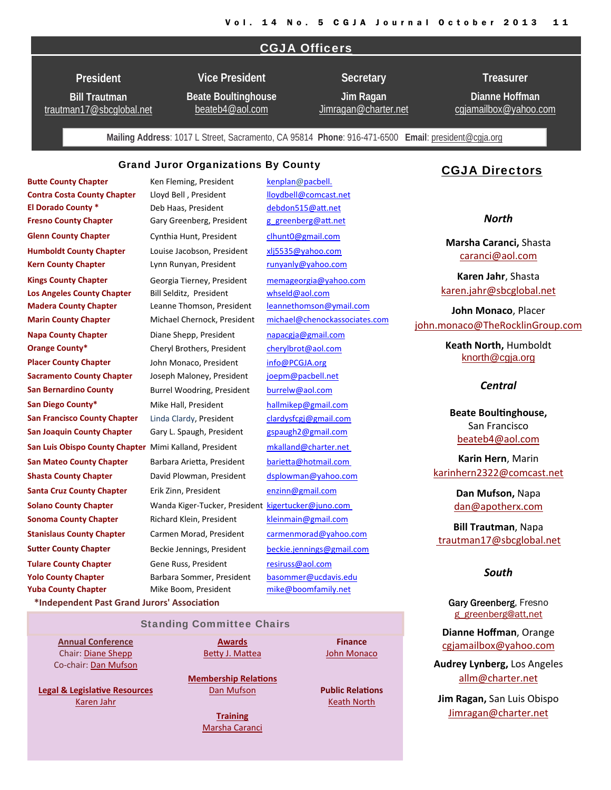#### CGJA Officers

**President** 

**Bill Trautman** trautman17@sbcglobal.net

**Vice President Beate Boultinghouse**

beateb4@aol.com

**Jim Ragan**  Jimragan@charter.net

**Secretary** 

**Dianne Hoffman**  cgjamailbox@yahoo.com

**Treasurer** 

**Mailing Address**: 1017 L Street, Sacramento, CA 95814 **Phone**: 916-471-6500 **Email**: president@cgja.org

#### Grand Juror Organizations By County

**Yuba County Chapter** Mike Boom, President mike@boomfamily.net

**Butte County Chapter** *Ken Fleming, President kenplan@pacbell.* **Contra Costa County Chapter**  Lloyd Bell , President lloydbell@comcast.net **El Dorado County \*** Deb Haas, President debdon515@aƩ.net **Fresno County Chapter** Gary Greenberg, President g\_greenberg@att.net **Glenn County Chapter** Cynthia Hunt, President clhunt0@gmail.com **Humboldt County Chapter** Louise Jacobson, President xlj5535@yahoo.com **Kern County Chapter** Lynn Runyan, President runyanly@yahoo.com **Kings County Chapter** Georgia Tierney, President memageorgia@yahoo.com **Los Angeles County Chapter** Bill Selditz, President whseld@aol.com **Madera County Chapter** Leanne Thomson, President leannethomson@ymail.com **Marin County Chapter** Michael Chernock, President michael@chenockassociates.com **Napa County Chapter** Diane Shepp, President napacgja@gmail.com **Orange County\*** Cheryl Brothers, President cherylbrot@aol.com **Placer County Chapter** John Monaco, President info@PCGJA.org **Sacramento County Chapter**  Joseph Maloney, President joepm@pacbell.net **San Bernardino County** Burrel Woodring, President burrelw@aol.com **San Diego County\*** Mike Hall, President hallmikep@gmail.com **San Francisco County Chapter** Linda Clardy, President clardysfcgj@gmail.com **San Luis Obispo County Chapter** Mimi Kalland, President mkalland@charter.net **San Mateo County Chapter**  Barbara ArieƩa, President barieƩa@hotmail.com **Shasta County Chapter**  David Plowman, President dsplowman@yahoo.com **Santa Cruz County Chapter** Erik Zinn, President enzinn@gmail.com **Solano County Chapter Wanda Kiger-Tucker, President kigertucker@juno.com Sonoma County Chapter** Richard Klein, President kleinmain@gmail.com **Stanislaus County Chapter** Carmen Morad, President carmenmorad@yahoo.com **Sutter County Chapter Beckie Jennings, President beckie.jennings@gmail.com Tulare County Chapter** Gene Russ, President resiruss@aol.com **Yolo County Chapter** Barbara Sommer, President basommer@ucdavis.edu **San Joaquin County Chapter** Gary L. Spaugh, President gspaugh2@gmail.com

#### CGJA Directors

*North*

**Marsha Caranci,** Shasta caranci@aol.com

**Karen Jahr**, Shasta karen.jahr@sbcglobal.net

**John Monaco**, Placer john.monaco@TheRocklinGroup.com

> **Keath North,** Humboldt knorth@cgja.org

#### *Central*

**Beate BoulƟnghouse,** San Francisco beateb4@aol.com

**Karin Hern**, Marin karinhern2322@comcast.net

> **Dan Mufson,** Napa dan@apotherx.com

**Bill Trautman**, Napa trautman17@sbcglobal.net

#### *South*

Gary Greenberg, Fresno g\_greenberg@att,net

**Dianne Hoffman**, Orange cgjamailbox@yahoo.com

**Audrey Lynberg,** Los Angeles allm@charter.net

**Jim Ragan,** San Luis Obispo Jimragan@charter.net

**\*Independent Past Grand Jurors' AssociaƟon**

Standing Committee Chairs

**Annual Conference** Chair: Diane Shepp Co‐chair: Dan Mufson

**Legal & LegislaƟve Resources** Karen Jahr

**Awards** Betty J. Mattea

**Membership RelaƟons** Dan Mufson

**Training**

Marsha Caranci

**Public RelaƟons** Keath North

**Finance** John Monaco